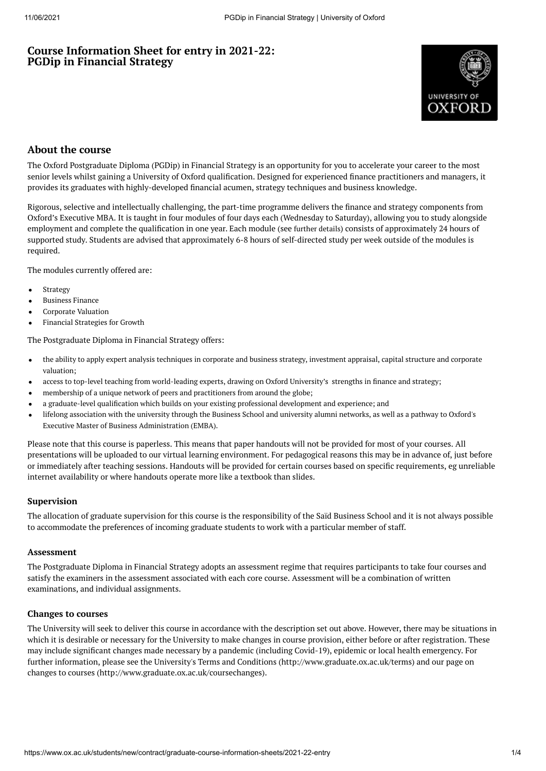# **Course Information Sheet for entry in 2021-22: PGDip in Financial Strategy**



# **About the course**

The Oxford Postgraduate Diploma (PGDip) in Financial Strategy is an opportunity for you to accelerate your career to the most senior levels whilst gaining a University of Oxford qualification. Designed for experienced finance practitioners and managers, it provides its graduates with highly-developed financial acumen, strategy techniques and business knowledge.

Rigorous, selective and intellectually challenging, the part-time programme delivers the finance and strategy components from Oxford's Executive MBA. It is taught in four modules of four days each (Wednesday to Saturday), allowing you to study alongside employment and complete the qualification in one year. Each module (see [further](https://www.sbs.ox.ac.uk/programmes/oxford-diploma-financial-strategy/programme-outline) details) consists of approximately 24 hours of supported study. Students are advised that approximately 6-8 hours of self-directed study per week outside of the modules is required.

The modules currently offered are:

- Strategy
- Business Finance
- Corporate Valuation
- Financial Strategies for Growth

The Postgraduate Diploma in Financial Strategy offers:

- the ability to apply expert analysis techniques in corporate and business strategy, investment appraisal, capital structure and corporate valuation;
- access to top-level teaching from world-leading experts, drawing on Oxford University's strengths in finance and strategy;  $\bullet$
- membership of a unique network of peers and practitioners from around the globe;
- a graduate-level qualification which builds on your existing professional development and experience; and
- lifelong association with the university through the Business School and university alumni networks, as well as a pathway to Oxford's Executive Master of Business [Administration](https://www.ox.ac.uk/admissions/graduate/courses/executive-mba) (EMBA).

Please note that this course is paperless. This means that paper handouts will not be provided for most of your courses. All presentations will be uploaded to our virtual learning environment. For pedagogical reasons this may be in advance of, just before or immediately after teaching sessions. Handouts will be provided for certain courses based on specific requirements, eg unreliable internet availability or where handouts operate more like a textbook than slides.

### **Supervision**

The allocation of graduate supervision for this course is the responsibility of the Saïd Business School and it is not always possible to accommodate the preferences of incoming graduate students to work with a particular member of staff.

#### **Assessment**

The Postgraduate Diploma in Financial Strategy adopts an assessment regime that requires participants to take four courses and satisfy the examiners in the assessment associated with each core course. Assessment will be a combination of written examinations, and individual assignments.

#### **Changes to courses**

The University will seek to deliver this course in accordance with the description set out above. However, there may be situations in which it is desirable or necessary for the University to make changes in course provision, either before or after registration. These may include significant changes made necessary by a pandemic (including Covid-19), epidemic or local health emergency. For further information, please see the University's Terms and Conditions (http://www.graduate.ox.ac.uk/terms) and our page on changes to courses (http://www.graduate.ox.ac.uk/coursechanges).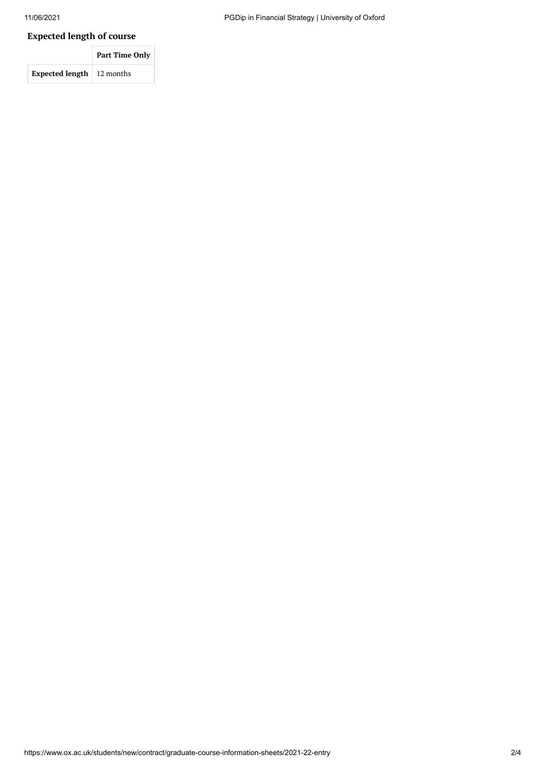# **Expected length of course**

|                                    | <b>Part Time Only</b> |  |
|------------------------------------|-----------------------|--|
| <b>Expected length</b>   12 months |                       |  |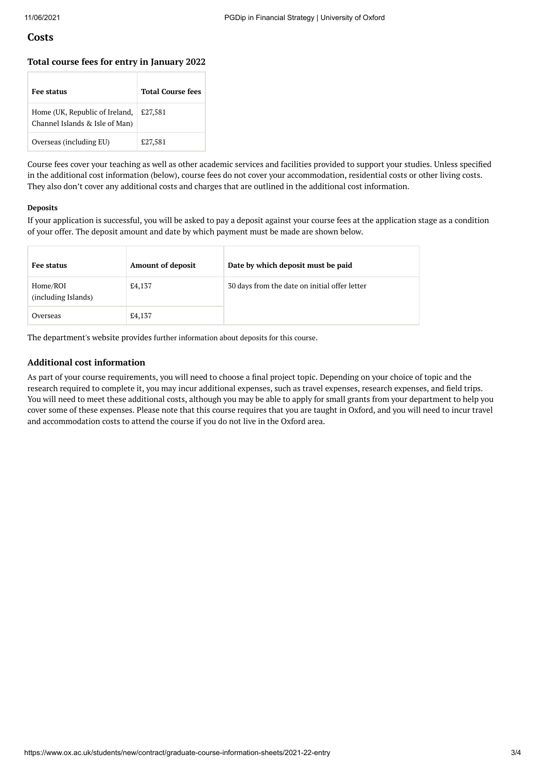#### **Costs**

#### **Total course fees for entry in January 2022**

| <b>Fee status</b>                                                | <b>Total Course fees</b> |
|------------------------------------------------------------------|--------------------------|
| Home (UK, Republic of Ireland,<br>Channel Islands & Isle of Man) | £27,581                  |
| Overseas (including EU)                                          | £27,581                  |

Course fees cover your teaching as well as other academic services and facilities provided to support your studies. Unless specified in the additional cost information (below), course fees do not cover your accommodation, residential costs or other living costs. They also don't cover any additional costs and charges that are outlined in the additional cost information.

#### **Deposits**

If your application is successful, you will be asked to pay a deposit against your course fees at the application stage as a condition of your offer. The deposit amount and date by which payment must be made are shown below.

| Fee status                      | <b>Amount of deposit</b> | Date by which deposit must be paid            |
|---------------------------------|--------------------------|-----------------------------------------------|
| Home/ROI<br>(including Islands) | £4,137                   | 30 days from the date on initial offer letter |
| Overseas                        | £4,137                   |                                               |

The department's website provides further [information](https://www.sbs.ox.ac.uk/programmes/degrees/dfs/how-apply) about deposits for this course.

#### **Additional cost information**

As part of your course requirements, you will need to choose a final project topic. Depending on your choice of topic and the research required to complete it, you may incur additional expenses, such as travel expenses, research expenses, and field trips. You will need to meet these additional costs, although you may be able to apply for small grants from your department to help you cover some of these expenses. Please note that this course requires that you are taught in Oxford, and you will need to incur travel and accommodation costs to attend the course if you do not live in the Oxford area.